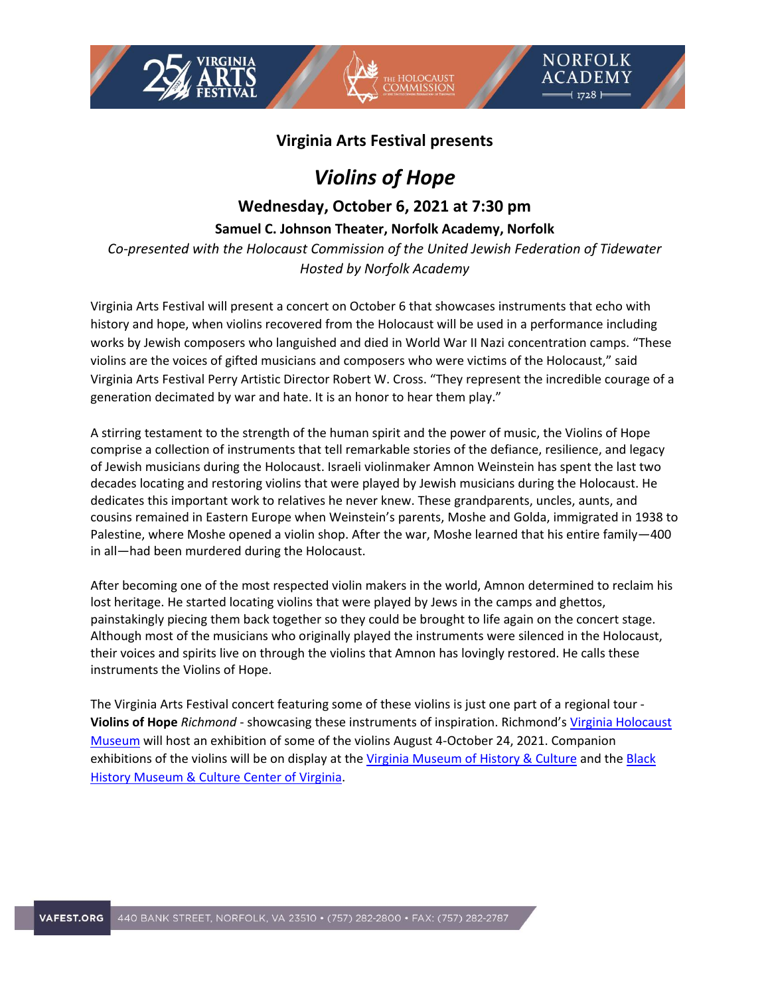

NORFOLK **ACADEMY**  $1728$ 

# *Violins of Hope*

# **Wednesday, October 6, 2021 at 7:30 pm**

**Samuel C. Johnson Theater, Norfolk Academy, Norfolk**

*Co-presented with the Holocaust Commission of the United Jewish Federation of Tidewater Hosted by Norfolk Academy*

Virginia Arts Festival will present a concert on October 6 that showcases instruments that echo with history and hope, when violins recovered from the Holocaust will be used in a performance including works by Jewish composers who languished and died in World War II Nazi concentration camps. "These violins are the voices of gifted musicians and composers who were victims of the Holocaust," said Virginia Arts Festival Perry Artistic Director Robert W. Cross. "They represent the incredible courage of a generation decimated by war and hate. It is an honor to hear them play."

A stirring testament to the strength of the human spirit and the power of music, the Violins of Hope comprise a collection of instruments that tell remarkable stories of the defiance, resilience, and legacy of Jewish musicians during the Holocaust. Israeli violinmaker Amnon Weinstein has spent the last two decades locating and restoring violins that were played by Jewish musicians during the Holocaust. He dedicates this important work to relatives he never knew. These grandparents, uncles, aunts, and cousins remained in Eastern Europe when Weinstein's parents, Moshe and Golda, immigrated in 1938 to Palestine, where Moshe opened a violin shop. After the war, Moshe learned that his entire family—400 in all—had been murdered during the Holocaust.

After becoming one of the most respected violin makers in the world, Amnon determined to reclaim his lost heritage. He started locating violins that were played by Jews in the camps and ghettos, painstakingly piecing them back together so they could be brought to life again on the concert stage. Although most of the musicians who originally played the instruments were silenced in the Holocaust, their voices and spirits live on through the violins that Amnon has lovingly restored. He calls these instruments the Violins of Hope.

The Virginia Arts Festival concert featuring some of these violins is just one part of a regional tour - **Violins of Hope** *Richmond* - showcasing these instruments of inspiration. Richmond's Virginia Holocaust [Museum](https://www.vaholocaust.org/) will host an exhibition of some of the violins August 4-October 24, 2021. Companion exhibitions of the violins will be on display at th[e Virginia Museum of History & Culture](https://virginiahistory.org/) and the [Black](https://www.blackhistorymuseum.org/)  [History Museum & Culture Center of Virginia.](https://www.blackhistorymuseum.org/)